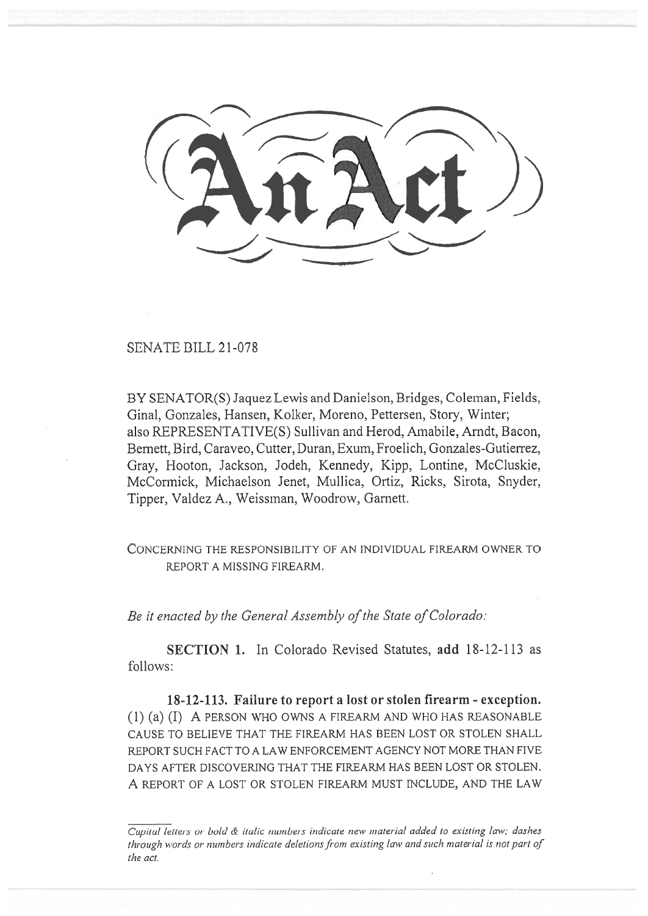$\leq$ 

## SENATE BILL 21-078

BY SENATOR(S) Jaquez Lewis and Danielson, Bridges, Coleman, Fields, Ginal, Gonzales, Hansen, Kolker, Moreno, Pettersen, Story, Winter; also REPRESENTATIVE(S) Sullivan and Herod, Amabile, Arndt, Bacon, Bemett, Bird, Caraveo, Cutter, Duran, Exum, Froelich, Gonzales-Gutierrez, Gray, Hooton, Jackson, Jodeh, Kennedy, Kipp, Lontine, McCluskie, McCormick, Michaelson Jenet, Mullica, Ortiz, Ricks, Sirota, Snyder, Tipper, Valdez A., Weissman, Woodrow, Garnett.

CONCERNING THE RESPONSIBILITY OF AN INDIVIDUAL FIREARM OWNER TO REPORT A MISSING FIREARM.

Be it enacted by the General Assembly of the State of Colorado:

SECTION 1. In Colorado Revised Statutes, add 18-12-113 as follows:

18-12-113. Failure to report a lost or stolen firearm - exception. (1) (a) (I) A PERSON WHO OWNS A FIREARM AND WHO HAS REASONABLE CAUSE TO BELIEVE THAT THE FIREARM HAS BEEN LOST OR STOLEN SHALL REPORT SUCH FACT TO A LAW ENFORCEMENT AGENCY NOT MORE THAN FIVE DAYS AFTER DISCOVERING THAT THE FIREARM HAS BEEN LOST OR STOLEN. A REPORT OF A LOST OR STOLEN FIREARM MUST INCLUDE, AND THE LAW

Capital letters or bold & italic numbers indicate new material added to existing law; dashes through words or numbers indicate deletions from existing law and such material is not part of the act.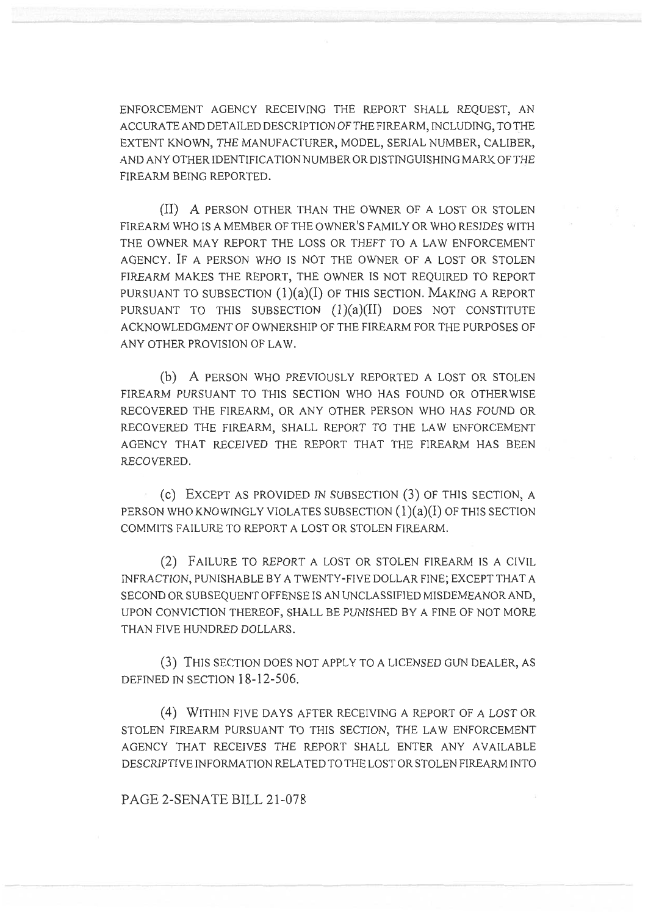ENFORCEMENT AGENCY RECEIVING THE REPORT SHALL REQUEST, AN ACCURATE AND DETAILED DESCRIPTION OF THE FIREARM, INCLUDING, TO THE EXTENT KNOWN, THE MANUFACTURER, MODEL, SERIAL NUMBER, CALIBER, AND ANY OTHER IDENTIFICATION NUMBER OR DISTINGUISHING MARK OF THE FIREARM BEING REPORTED.

(II) A PERSON OTHER THAN THE OWNER OF A LOST OR STOLEN FIREARM WHO IS A MEMBER OF THE OWNER'S FAMILY OR WHO RESIDES WITH THE OWNER MAY REPORT THE LOSS OR THEFT TO A LAW ENFORCEMENT AGENCY. IF A PERSON WHO IS NOT THE OWNER OF A LOST OR STOLEN FIREARM MAKES THE REPORT, THE OWNER IS NOT REQUIRED TO REPORT PURSUANT TO SUBSECTION  $(1)(a)(I)$  OF THIS SECTION. MAKING A REPORT PURSUANT TO THIS SUBSECTION  $(1)(a)(II)$  DOES NOT CONSTITUTE ACKNOWLEDGMENT OF OWNERSHIP OF THE FIREARM FOR THE PURPOSES OF ANY OTHER PROVISION OF LAW.

(b) A PERSON WHO PREVIOUSLY REPORTED A LOST OR STOLEN FIREARM PURSUANT TO THIS SECTION WHO HAS FOUND OR OTHERWISE RECOVERED THE FIREARM, OR ANY OTHER PERSON WHO HAS FOUND OR RECOVERED THE FIREARM, SHALL REPORT TO THE LAW ENFORCEMENT AGENCY THAT RECEIVED THE REPORT THAT THE FIREARM HAS BEEN RECOVERED.

(c) EXCEPT AS PROVIDED IN SUBSECTION (3) OF THIS SECTION, A PERSON WHO KNOWINGLY VIOLATES SUBSECTION  $(1)(a)(I)$  OF THIS SECTION COMMITS FAILURE TO REPORT A LOST OR STOLEN FIREARM.

(2) FAILURE TO REPORT A LOST OR STOLEN FIREARM IS A CIVIL INFRACTION, PUNISHABLE BY A TWENTY-FIVE DOLLAR FINE; EXCEPT THAT A SECOND OR SUBSEQUENT OFFENSE IS AN UNCLASSIFIED MISDEMEANOR AND, UPON CONVICTION THEREOF, SHALL BE PUNISHED BY A FINE OF NOT MORE THAN FIVE HUNDRED DOLLARS.

(3) THIS SECTION DOES NOT APPLY TO A LICENSED GUN DEALER, AS DEFINED IN SECTION 18-12-506.

(4) WITHIN FIVE DAYS AFTER RECEIVING A REPORT OF A LOST OR STOLEN FIREARM PURSUANT TO THIS SECTION, THE LAW ENFORCEMENT AGENCY THAT RECEIVES THE REPORT SHALL ENTER ANY AVAILABLE DESCRIPTIVE INFORMATION RELATED TO THE LOST OR STOLEN FIREARM INTO

PAGE 2-SENATE BILL 21-078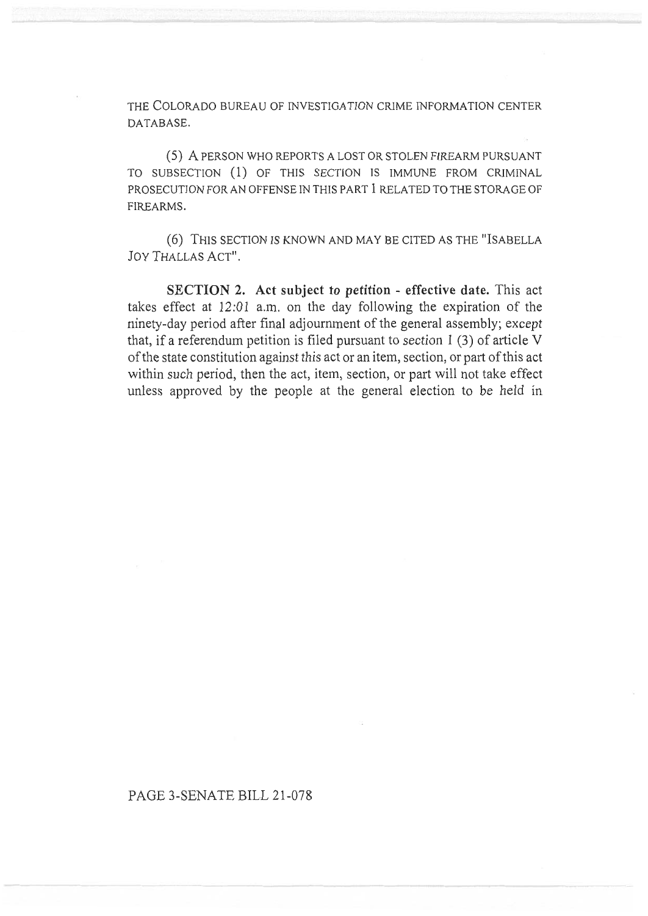THE COLORADO BUREAU OF INVESTIGATION CRIME INFORMATION CENTER DATABASE.

(5) A PERSON WHO REPORTS A LOST OR STOLEN FIREARM PURSUANT TO SUBSECTION (1) OF THIS SECTION IS IMMUNE FROM CRIMINAL PROSECUTION FOR AN OFFENSE IN THIS PART 1 RELATED TO THE STORAGE OF FIREARMS.

(6) THIS SECTION IS KNOWN AND MAY BE CITED AS THE "ISABELLA JOY THALLAS ACT".

SECTION 2. Act subject to petition - effective date. This act takes effect at 12:01 a.m. on the day following the expiration of the ninety-day period after final adjournment of the general assembly; except that, if a referendum petition is filed pursuant to section 1 (3) of article V of the state constitution against this act or an item, section, or part of this act within such period, then the act, item, section, or part will not take effect unless approved by the people at the general election to be held in

## PAGE 3-SENATE BILL 21-078